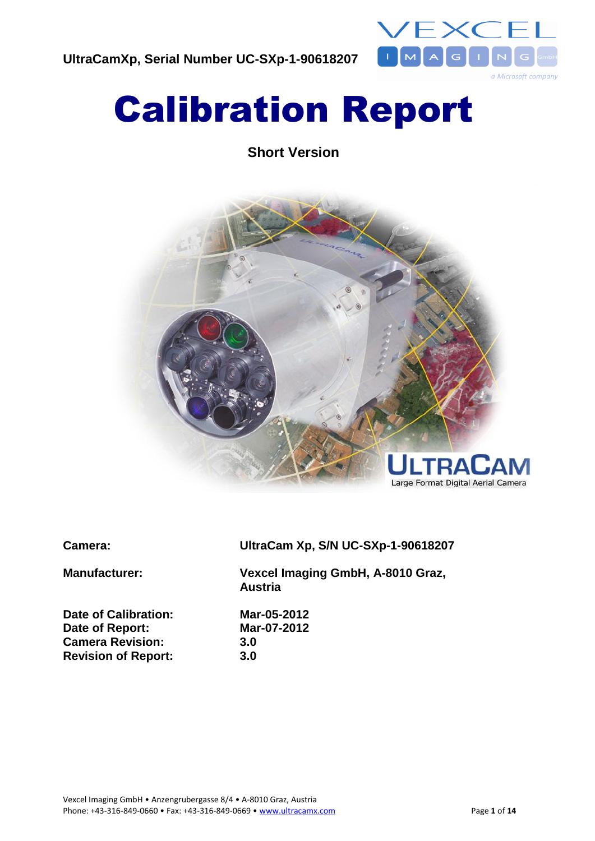

# Calibration Report

**Short Version**



**Date of Calibration: Mar-05-2012 Date of Report: Mar-07-2012 Camera Revision: 3.0 Revision of Report: 3.0**

**Camera: UltraCam Xp, S/N UC-SXp-1-90618207**

**Manufacturer: Vexcel Imaging GmbH, A-8010 Graz, Austria**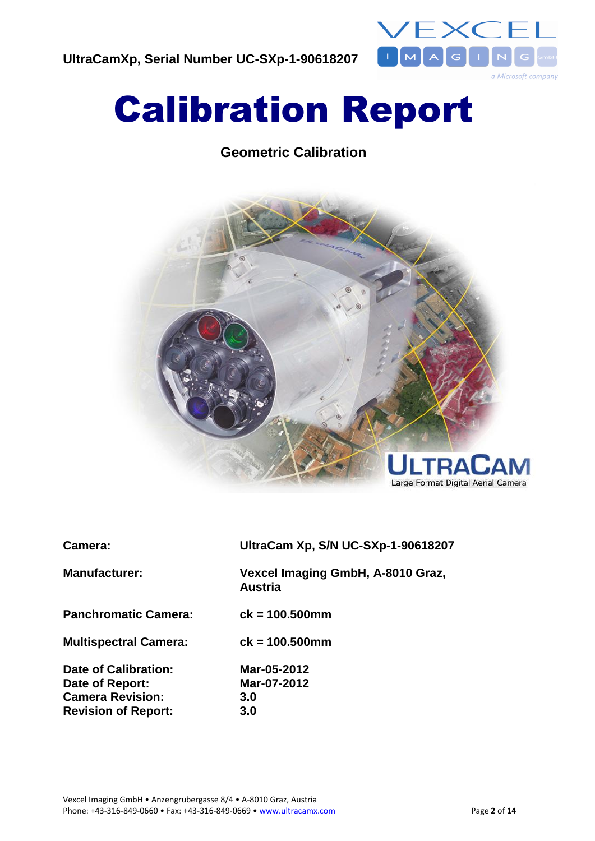

# Calibration Report

# **Geometric Calibration**



| Camera:                      | UltraCam Xp, S/N UC-SXp-1-90618207                  |
|------------------------------|-----------------------------------------------------|
| <b>Manufacturer:</b>         | Vexcel Imaging GmbH, A-8010 Graz,<br><b>Austria</b> |
| <b>Panchromatic Camera:</b>  | $ck = 100.500$ mm                                   |
| <b>Multispectral Camera:</b> | $ck = 100.500$ mm                                   |
| Date of Calibration:         | Mar-05-2012                                         |
| Date of Report:              | Mar-07-2012                                         |
| <b>Camera Revision:</b>      | 3.0                                                 |
| <b>Revision of Report:</b>   | 3.0                                                 |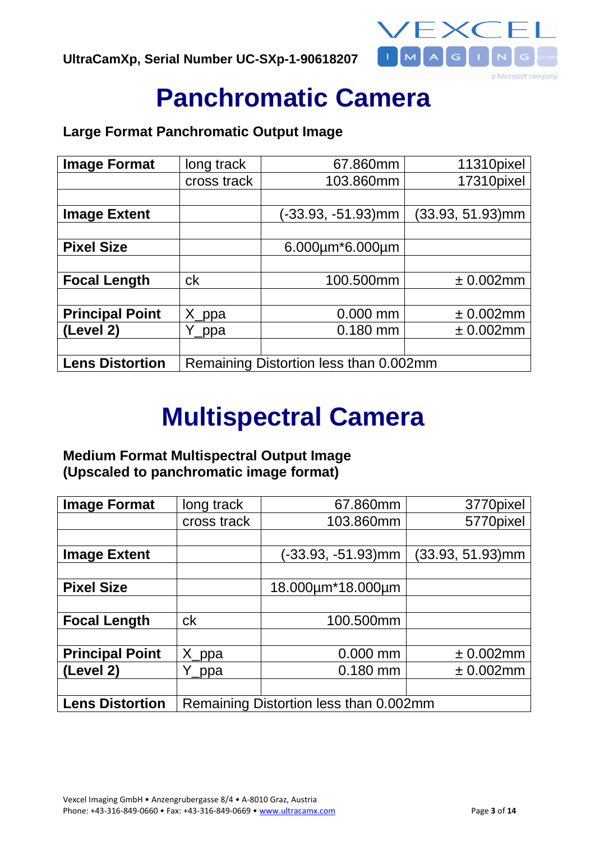

# **Panchromatic Camera**

## **Large Format Panchromatic Output Image**

| <b>Image Format</b>    | long track                             | 67.860mm                  | 11310pixel       |
|------------------------|----------------------------------------|---------------------------|------------------|
|                        | cross track                            | 103.860mm                 | 17310pixel       |
|                        |                                        |                           |                  |
| <b>Image Extent</b>    |                                        | (-33.93, -51.93)mm        | (33.93, 51.93)mm |
|                        |                                        |                           |                  |
| <b>Pixel Size</b>      |                                        | $6.000 \mu m*6.000 \mu m$ |                  |
|                        |                                        |                           |                  |
| <b>Focal Length</b>    | ck                                     | 100.500mm                 | ± 0.002mm        |
|                        |                                        |                           |                  |
| <b>Principal Point</b> | X_ppa                                  | $0.000$ mm                | ± 0.002mm        |
| (Level 2)              | Y_ppa                                  | $0.180$ mm                | ± 0.002mm        |
|                        |                                        |                           |                  |
| <b>Lens Distortion</b> | Remaining Distortion less than 0.002mm |                           |                  |

# **Multispectral Camera**

# **Medium Format Multispectral Output Image (Upscaled to panchromatic image format)**

| <b>Image Format</b>    | long track                             | 67.860mm           | 3770pixel        |
|------------------------|----------------------------------------|--------------------|------------------|
|                        | cross track                            | 103.860mm          | 5770pixel        |
|                        |                                        |                    |                  |
| <b>Image Extent</b>    |                                        | (-33.93, -51.93)mm | (33.93, 51.93)mm |
|                        |                                        |                    |                  |
| <b>Pixel Size</b>      |                                        | 18.000um*18.000um  |                  |
|                        |                                        |                    |                  |
| <b>Focal Length</b>    | ck                                     | 100.500mm          |                  |
|                        |                                        |                    |                  |
| <b>Principal Point</b> | X_ppa                                  | $0.000$ mm         | ± 0.002mm        |
| (Level 2)              | Y_ppa                                  | $0.180$ mm         | ± 0.002mm        |
|                        |                                        |                    |                  |
| <b>Lens Distortion</b> | Remaining Distortion less than 0.002mm |                    |                  |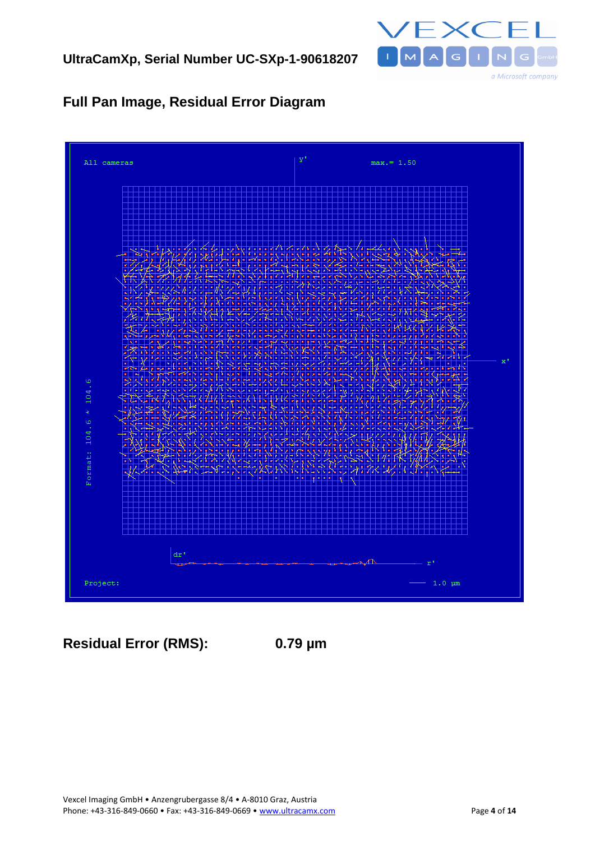

# **Full Pan Image, Residual Error Diagram**



**Residual Error (RMS): 0.79 µm**

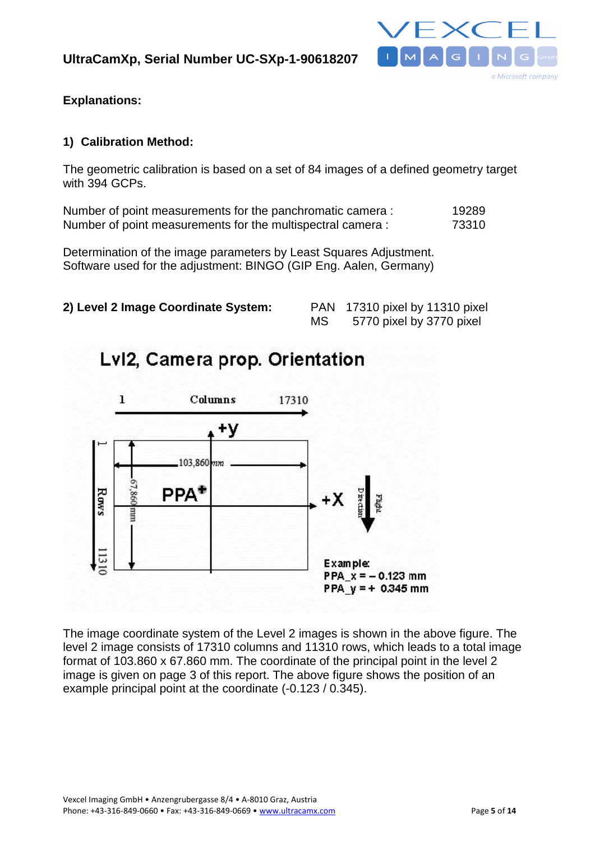

**Explanations:**

### **1) Calibration Method:**

The geometric calibration is based on a set of 84 images of a defined geometry target with 394 GCPs.

Number of point measurements for the panchromatic camera : 19289 Number of point measurements for the multispectral camera : 73310

Determination of the image parameters by Least Squares Adjustment. Software used for the adjustment: BINGO (GIP Eng. Aalen, Germany)



| <b>PAN</b> | 17310 pixel by 11310 pixel |
|------------|----------------------------|
| МS         | 5770 pixel by 3770 pixel   |



The image coordinate system of the Level 2 images is shown in the above figure. The level 2 image consists of 17310 columns and 11310 rows, which leads to a total image format of 103.860 x 67.860 mm. The coordinate of the principal point in the level 2 image is given on page 3 of this report. The above figure shows the position of an example principal point at the coordinate (-0.123 / 0.345).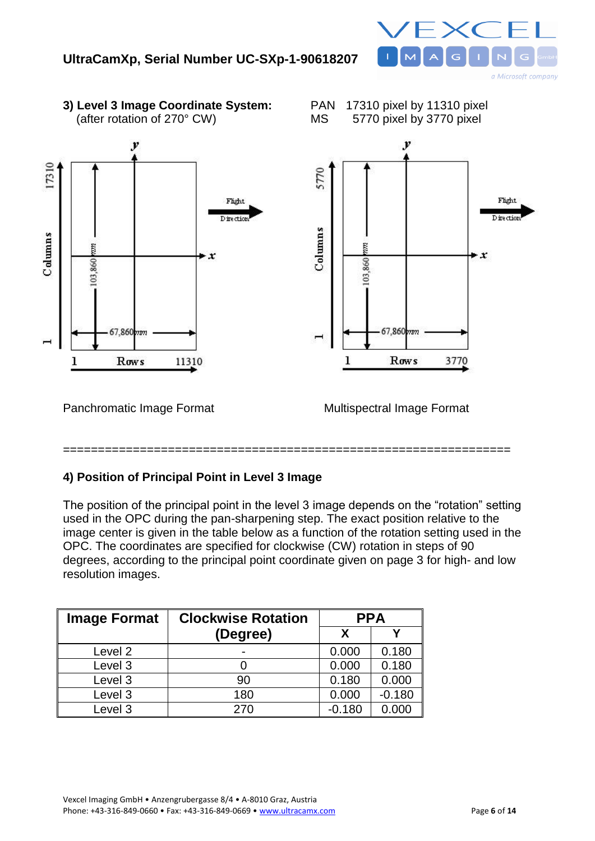

**3) Level 3 Image Coordinate System:** PAN 17310 pixel by 11310 pixel (after rotation of 270° CW) MS 5770 pixel by 3770 pixel





## **4) Position of Principal Point in Level 3 Image**

The position of the principal point in the level 3 image depends on the "rotation" setting used in the OPC during the pan-sharpening step. The exact position relative to the image center is given in the table below as a function of the rotation setting used in the OPC. The coordinates are specified for clockwise (CW) rotation in steps of 90 degrees, according to the principal point coordinate given on page 3 for high- and low resolution images.

| <b>Image Format</b> | <b>Clockwise Rotation</b> | <b>PPA</b> |          |
|---------------------|---------------------------|------------|----------|
|                     | (Degree)                  | X          |          |
| Level 2             |                           | 0.000      | 0.180    |
| Level 3             |                           | 0.000      | 0.180    |
| Level 3             | 90                        | 0.180      | 0.000    |
| Level 3             | 180                       | 0.000      | $-0.180$ |
| Level 3             | 270                       | $-0.180$   | 0.000    |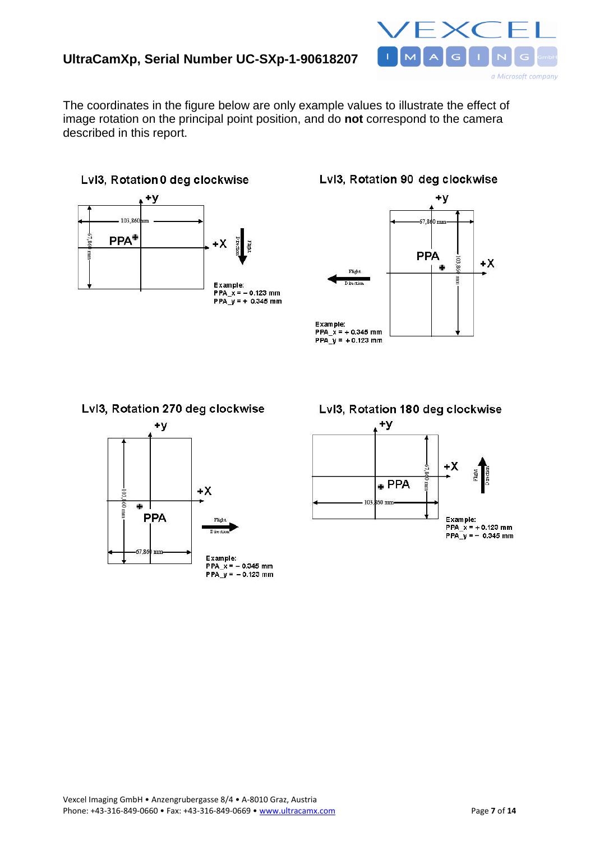## **UltraCamXp, Serial Number UC-SXp-1-90618207**



The coordinates in the figure below are only example values to illustrate the effect of image rotation on the principal point position, and do **not** correspond to the camera described in this report.



Lvl3, Rotation 90 deg clockwise



#### Lvl3, Rotation 270 deg clockwise



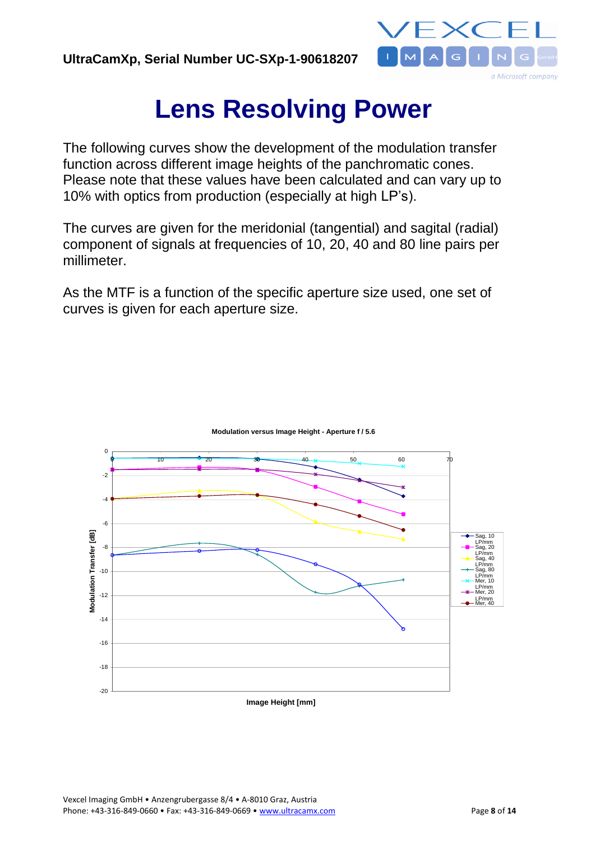

# **Lens Resolving Power**

The following curves show the development of the modulation transfer function across different image heights of the panchromatic cones. Please note that these values have been calculated and can vary up to 10% with optics from production (especially at high LP's).

The curves are given for the meridonial (tangential) and sagital (radial) component of signals at frequencies of 10, 20, 40 and 80 line pairs per millimeter.

As the MTF is a function of the specific aperture size used, one set of curves is given for each aperture size.



**Modulation versus Image Height - Aperture f / 5.6**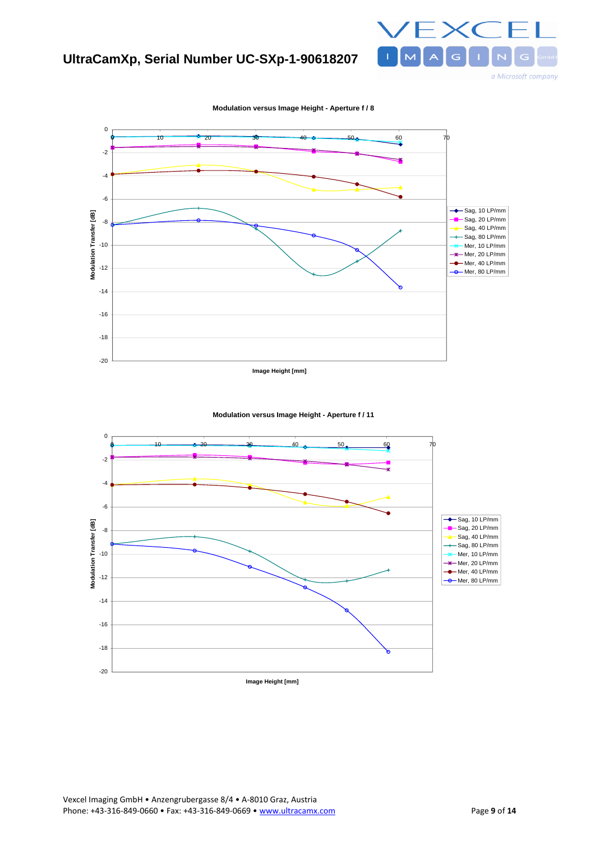





**Modulation versus Image Height - Aperture f / 11**

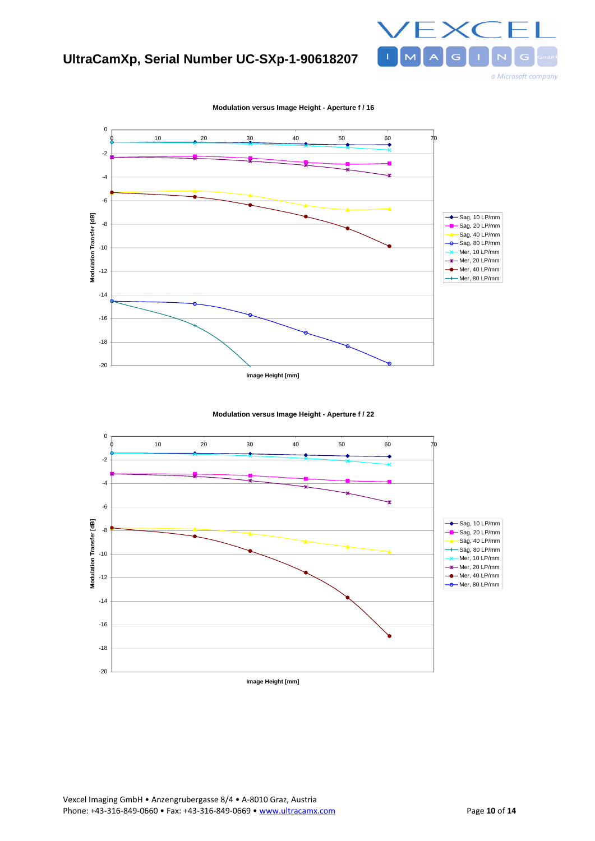## **UltraCamXp, Serial Number UC-SXp-1-90618207**





**Modulation versus Image Height - Aperture f / 16**



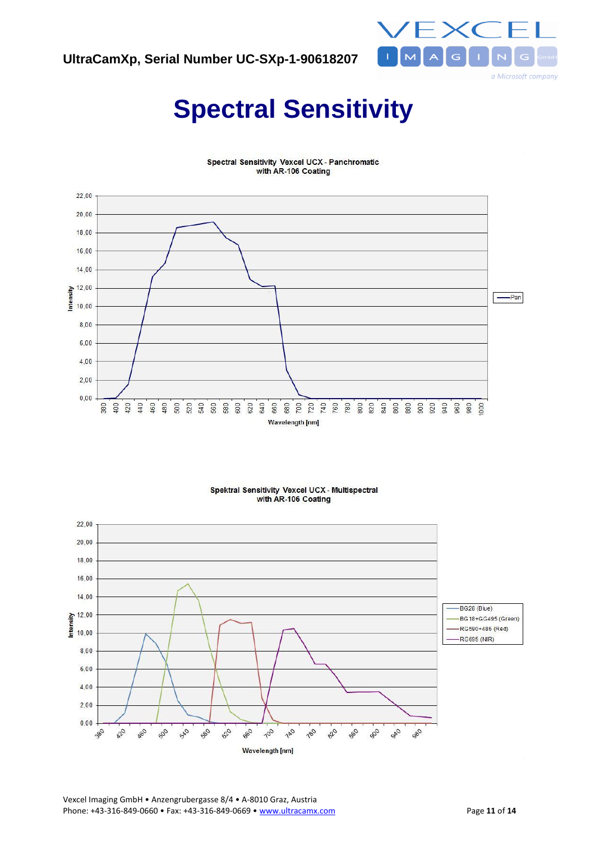

# **Spectral Sensitivity**



**Spectral Sensitivity Vexcel UCX - Panchromatic** with AR-106 Coating

#### Spektral Sensitivity Vexcel UCX - Multispectral with AR-106 Coating



Vexcel Imaging GmbH • Anzengrubergasse 8/4 • A-8010 Graz, Austria Phone: +43-316-849-0660 • Fax: +43-316-849-0669 • www.ultracamx.com Page 11 of 14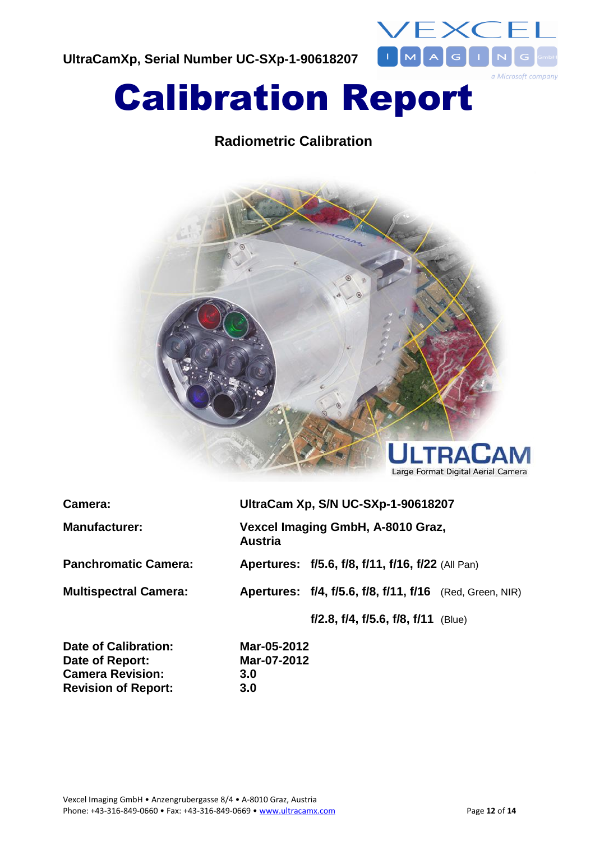**UltraCamXp, Serial Number UC-SXp-1-90618207**



# Calibration Report

# **Radiometric Calibration**



| Camera:                      | UltraCam Xp, S/N UC-SXp-1-90618207                  |                                                                 |  |
|------------------------------|-----------------------------------------------------|-----------------------------------------------------------------|--|
| <b>Manufacturer:</b>         | Vexcel Imaging GmbH, A-8010 Graz,<br><b>Austria</b> |                                                                 |  |
| <b>Panchromatic Camera:</b>  |                                                     | Apertures: f/5.6, f/8, f/11, f/16, f/22 (All Pan)               |  |
| <b>Multispectral Camera:</b> |                                                     | <b>Apertures: f/4, f/5.6, f/8, f/11, f/16</b> (Red, Green, NIR) |  |
|                              |                                                     | $f/2.8$ , $f/4$ , $f/5.6$ , $f/8$ , $f/11$ (Blue)               |  |

**Date of Calibration: Mar-05-2012 Date of Report: Mar-07-2012 Camera Revision: 3.0 Revision of Report: 3.0**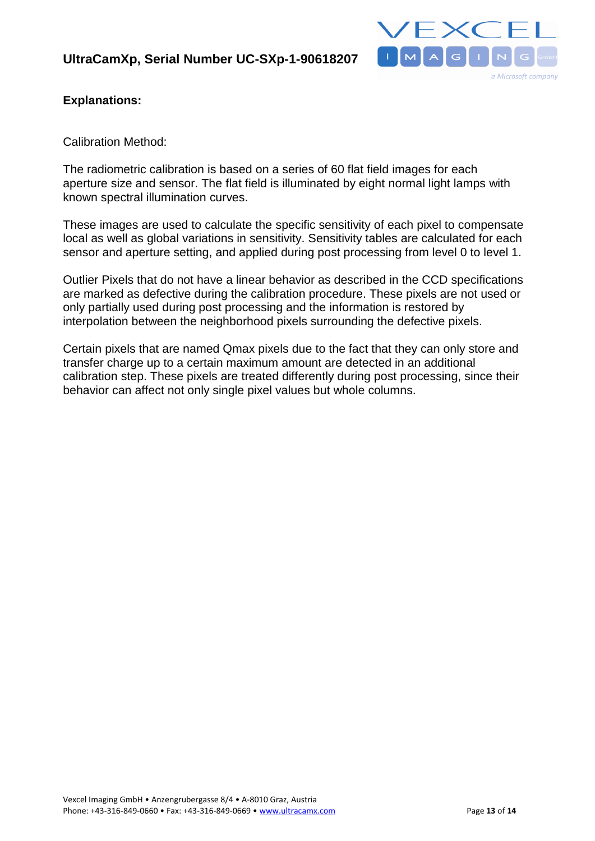

### **Explanations:**

Calibration Method:

The radiometric calibration is based on a series of 60 flat field images for each aperture size and sensor. The flat field is illuminated by eight normal light lamps with known spectral illumination curves.

These images are used to calculate the specific sensitivity of each pixel to compensate local as well as global variations in sensitivity. Sensitivity tables are calculated for each sensor and aperture setting, and applied during post processing from level 0 to level 1.

Outlier Pixels that do not have a linear behavior as described in the CCD specifications are marked as defective during the calibration procedure. These pixels are not used or only partially used during post processing and the information is restored by interpolation between the neighborhood pixels surrounding the defective pixels.

Certain pixels that are named Qmax pixels due to the fact that they can only store and transfer charge up to a certain maximum amount are detected in an additional calibration step. These pixels are treated differently during post processing, since their behavior can affect not only single pixel values but whole columns.